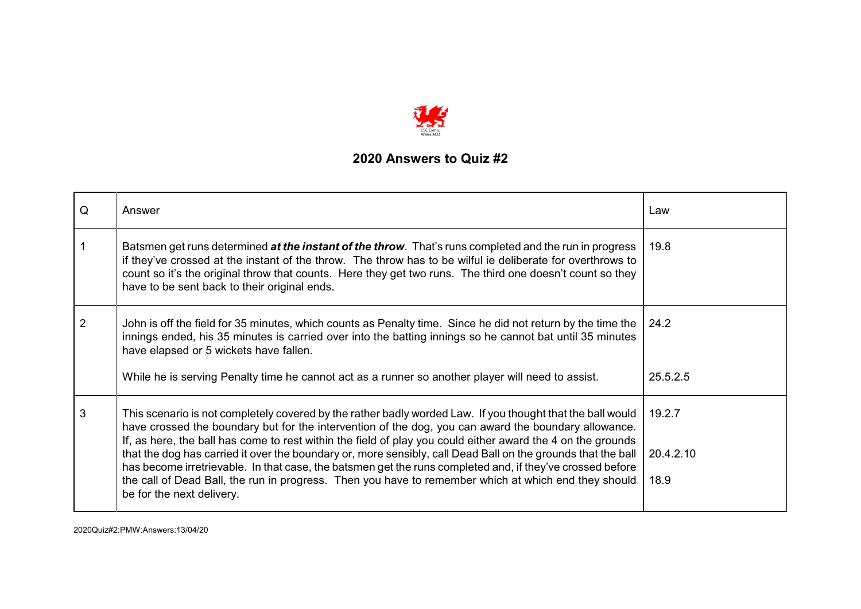

| Q              | Answer                                                                                                                                                                                                                                                                                                                                                                            | Law       |
|----------------|-----------------------------------------------------------------------------------------------------------------------------------------------------------------------------------------------------------------------------------------------------------------------------------------------------------------------------------------------------------------------------------|-----------|
|                | Batsmen get runs determined at the instant of the throw. That's runs completed and the run in progress<br>if they've crossed at the instant of the throw. The throw has to be wilful ie deliberate for overthrows to<br>count so it's the original throw that counts. Here they get two runs. The third one doesn't count so they<br>have to be sent back to their original ends. | 19.8      |
| $\overline{2}$ | John is off the field for 35 minutes, which counts as Penalty time. Since he did not return by the time the<br>innings ended, his 35 minutes is carried over into the batting innings so he cannot bat until 35 minutes<br>have elapsed or 5 wickets have fallen.                                                                                                                 | 24.2      |
|                | While he is serving Penalty time he cannot act as a runner so another player will need to assist.                                                                                                                                                                                                                                                                                 | 25.5.2.5  |
| 3              | This scenario is not completely covered by the rather badly worded Law. If you thought that the ball would<br>have crossed the boundary but for the intervention of the dog, you can award the boundary allowance.<br>If, as here, the ball has come to rest within the field of play you could either award the 4 on the grounds                                                 | 19.2.7    |
|                | that the dog has carried it over the boundary or, more sensibly, call Dead Ball on the grounds that the ball<br>has become irretrievable. In that case, the batsmen get the runs completed and, if they've crossed before                                                                                                                                                         | 20.4.2.10 |
|                | the call of Dead Ball, the run in progress. Then you have to remember which at which end they should<br>be for the next delivery.                                                                                                                                                                                                                                                 | 18.9      |

2020Quiz#2:PMW:Answers:13/04/20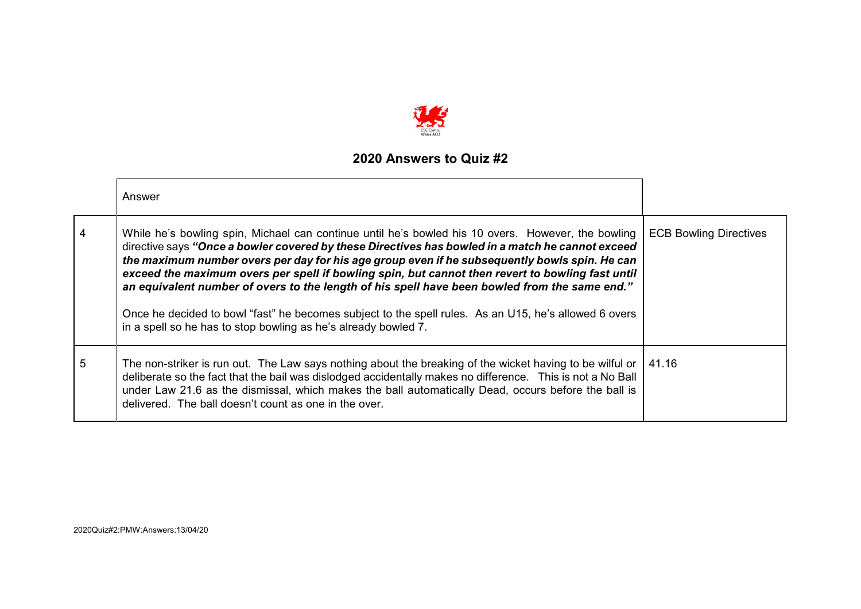

|   | Answer                                                                                                                                                                                                                                                                                                                                                                                                                                                                                                                                                                                                                                                                                  |                               |
|---|-----------------------------------------------------------------------------------------------------------------------------------------------------------------------------------------------------------------------------------------------------------------------------------------------------------------------------------------------------------------------------------------------------------------------------------------------------------------------------------------------------------------------------------------------------------------------------------------------------------------------------------------------------------------------------------------|-------------------------------|
| 4 | While he's bowling spin, Michael can continue until he's bowled his 10 overs. However, the bowling<br>directive says "Once a bowler covered by these Directives has bowled in a match he cannot exceed<br>the maximum number overs per day for his age group even if he subsequently bowls spin. He can<br>exceed the maximum overs per spell if bowling spin, but cannot then revert to bowling fast until<br>an equivalent number of overs to the length of his spell have been bowled from the same end."<br>Once he decided to bowl "fast" he becomes subject to the spell rules. As an U15, he's allowed 6 overs<br>in a spell so he has to stop bowling as he's already bowled 7. | <b>ECB Bowling Directives</b> |
| 5 | The non-striker is run out. The Law says nothing about the breaking of the wicket having to be wilful or<br>deliberate so the fact that the bail was dislodged accidentally makes no difference. This is not a No Ball<br>under Law 21.6 as the dismissal, which makes the ball automatically Dead, occurs before the ball is<br>delivered. The ball doesn't count as one in the over.                                                                                                                                                                                                                                                                                                  | 41.16                         |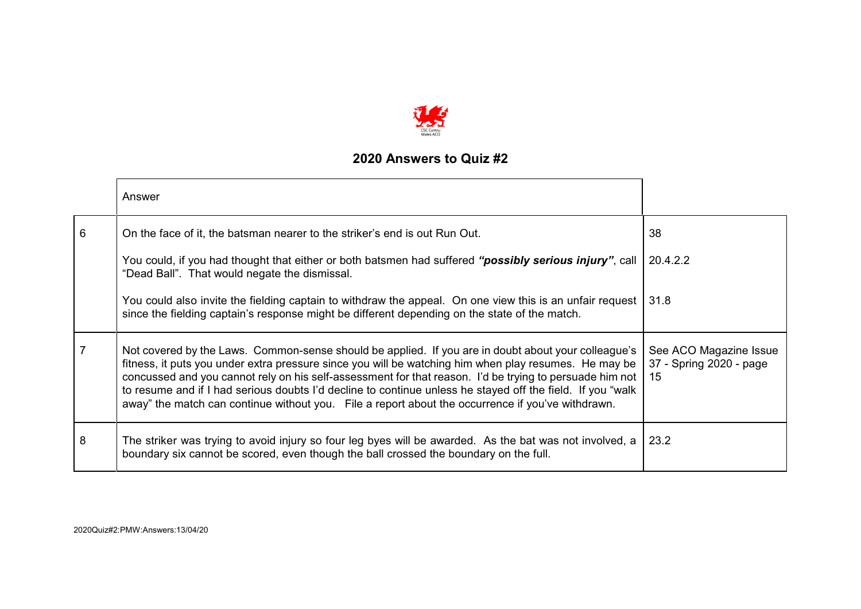

|   | Answer                                                                                                                                                                                                                                                                                                                                                                                                                                                                                                                                       |                                                         |
|---|----------------------------------------------------------------------------------------------------------------------------------------------------------------------------------------------------------------------------------------------------------------------------------------------------------------------------------------------------------------------------------------------------------------------------------------------------------------------------------------------------------------------------------------------|---------------------------------------------------------|
| 6 | On the face of it, the batsman nearer to the striker's end is out Run Out.                                                                                                                                                                                                                                                                                                                                                                                                                                                                   | 38                                                      |
|   | You could, if you had thought that either or both batsmen had suffered " <b>possibly serious injury</b> ", call<br>"Dead Ball". That would negate the dismissal.                                                                                                                                                                                                                                                                                                                                                                             | 20.4.2.2                                                |
|   | You could also invite the fielding captain to withdraw the appeal. On one view this is an unfair request  <br>since the fielding captain's response might be different depending on the state of the match.                                                                                                                                                                                                                                                                                                                                  | 31.8                                                    |
| 7 | Not covered by the Laws. Common-sense should be applied. If you are in doubt about your colleague's<br>fitness, it puts you under extra pressure since you will be watching him when play resumes. He may be<br>concussed and you cannot rely on his self-assessment for that reason. I'd be trying to persuade him not  <br>to resume and if I had serious doubts I'd decline to continue unless he stayed off the field. If you "walk<br>away" the match can continue without you. File a report about the occurrence if you've withdrawn. | See ACO Magazine Issue<br>37 - Spring 2020 - page<br>15 |
| 8 | The striker was trying to avoid injury so four leg byes will be awarded. As the bat was not involved, a<br>boundary six cannot be scored, even though the ball crossed the boundary on the full.                                                                                                                                                                                                                                                                                                                                             | 23.2                                                    |

2020Quiz#2:PMW:Answers:13/04/20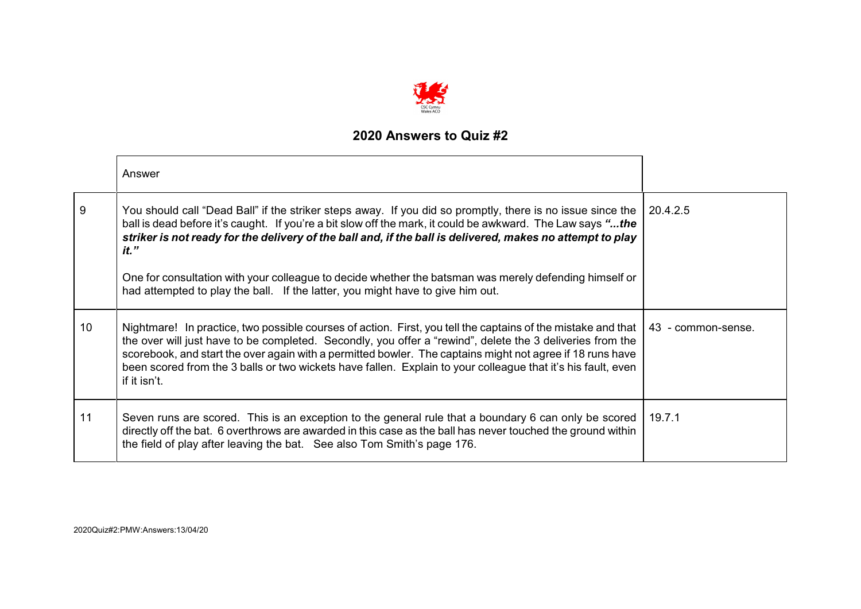

|    | Answer                                                                                                                                                                                                                                                                                                                                                                                                                                                                                                                                       |                    |
|----|----------------------------------------------------------------------------------------------------------------------------------------------------------------------------------------------------------------------------------------------------------------------------------------------------------------------------------------------------------------------------------------------------------------------------------------------------------------------------------------------------------------------------------------------|--------------------|
| 9  | You should call "Dead Ball" if the striker steps away. If you did so promptly, there is no issue since the<br>ball is dead before it's caught. If you're a bit slow off the mark, it could be awkward. The Law says "the<br>striker is not ready for the delivery of the ball and, if the ball is delivered, makes no attempt to play<br>$it.$ "<br>One for consultation with your colleague to decide whether the batsman was merely defending himself or<br>had attempted to play the ball. If the latter, you might have to give him out. | 20.4.2.5           |
| 10 | Nightmare! In practice, two possible courses of action. First, you tell the captains of the mistake and that<br>the over will just have to be completed. Secondly, you offer a "rewind", delete the 3 deliveries from the<br>scorebook, and start the over again with a permitted bowler. The captains might not agree if 18 runs have<br>been scored from the 3 balls or two wickets have fallen. Explain to your colleague that it's his fault, even<br>if it isn't.                                                                       | 43 - common-sense. |
| 11 | Seven runs are scored. This is an exception to the general rule that a boundary 6 can only be scored<br>directly off the bat. 6 overthrows are awarded in this case as the ball has never touched the ground within<br>the field of play after leaving the bat. See also Tom Smith's page 176.                                                                                                                                                                                                                                               | 19.7.1             |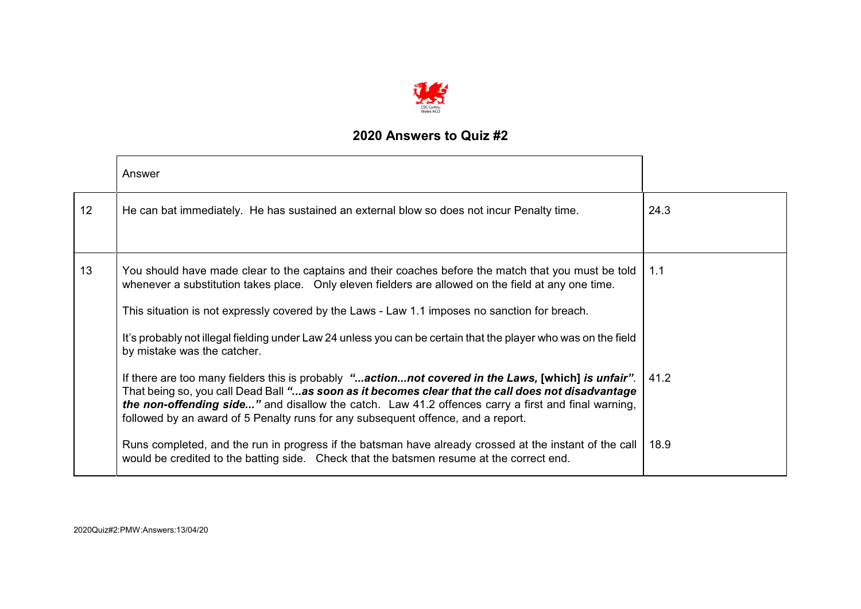

|    | Answer                                                                                                                                                                                                                                                                                                                                                                                              |      |
|----|-----------------------------------------------------------------------------------------------------------------------------------------------------------------------------------------------------------------------------------------------------------------------------------------------------------------------------------------------------------------------------------------------------|------|
| 12 | He can bat immediately. He has sustained an external blow so does not incur Penalty time.                                                                                                                                                                                                                                                                                                           | 24.3 |
|    |                                                                                                                                                                                                                                                                                                                                                                                                     |      |
| 13 | You should have made clear to the captains and their coaches before the match that you must be told<br>whenever a substitution takes place. Only eleven fielders are allowed on the field at any one time.                                                                                                                                                                                          | 1.1  |
|    | This situation is not expressly covered by the Laws - Law 1.1 imposes no sanction for breach.                                                                                                                                                                                                                                                                                                       |      |
|    | It's probably not illegal fielding under Law 24 unless you can be certain that the player who was on the field<br>by mistake was the catcher.                                                                                                                                                                                                                                                       |      |
|    | If there are too many fielders this is probably "actionnot covered in the Laws, [which] is unfair".<br>That being so, you call Dead Ball "as soon as it becomes clear that the call does not disadvantage<br>the non-offending side" and disallow the catch. Law 41.2 offences carry a first and final warning,<br>followed by an award of 5 Penalty runs for any subsequent offence, and a report. | 41.2 |
|    | Runs completed, and the run in progress if the batsman have already crossed at the instant of the call<br>would be credited to the batting side. Check that the batsmen resume at the correct end.                                                                                                                                                                                                  | 18.9 |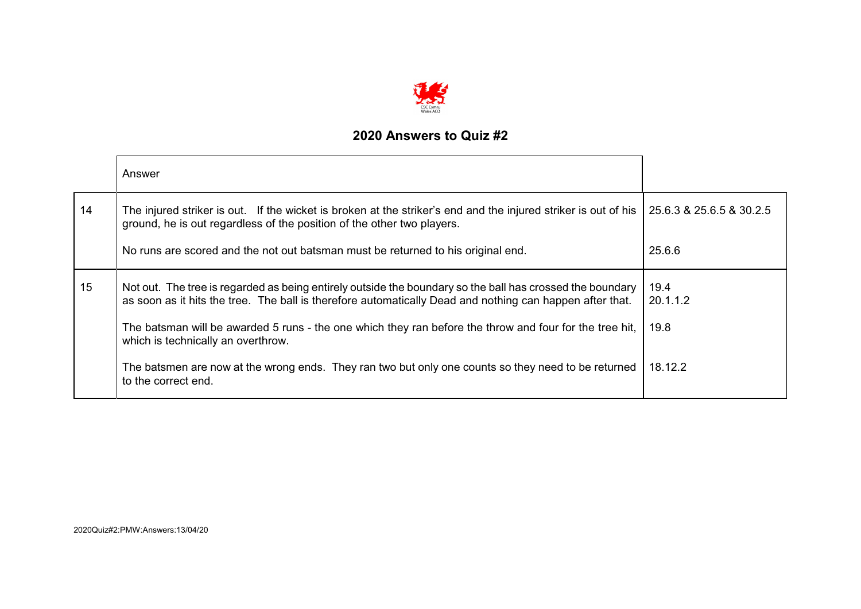

|    | Answer                                                                                                                                                                                                                |                          |
|----|-----------------------------------------------------------------------------------------------------------------------------------------------------------------------------------------------------------------------|--------------------------|
| 14 | The injured striker is out. If the wicket is broken at the striker's end and the injured striker is out of his<br>ground, he is out regardless of the position of the other two players.                              | 25.6.3 & 25.6.5 & 30.2.5 |
|    | No runs are scored and the not out batsman must be returned to his original end.                                                                                                                                      | 25.6.6                   |
| 15 | Not out. The tree is regarded as being entirely outside the boundary so the ball has crossed the boundary<br>as soon as it hits the tree. The ball is therefore automatically Dead and nothing can happen after that. | 19.4<br>20.1.1.2         |
|    | The batsman will be awarded 5 runs - the one which they ran before the throw and four for the tree hit,<br>which is technically an overthrow.                                                                         | 19.8                     |
|    | The batsmen are now at the wrong ends. They ran two but only one counts so they need to be returned<br>to the correct end.                                                                                            | 18.12.2                  |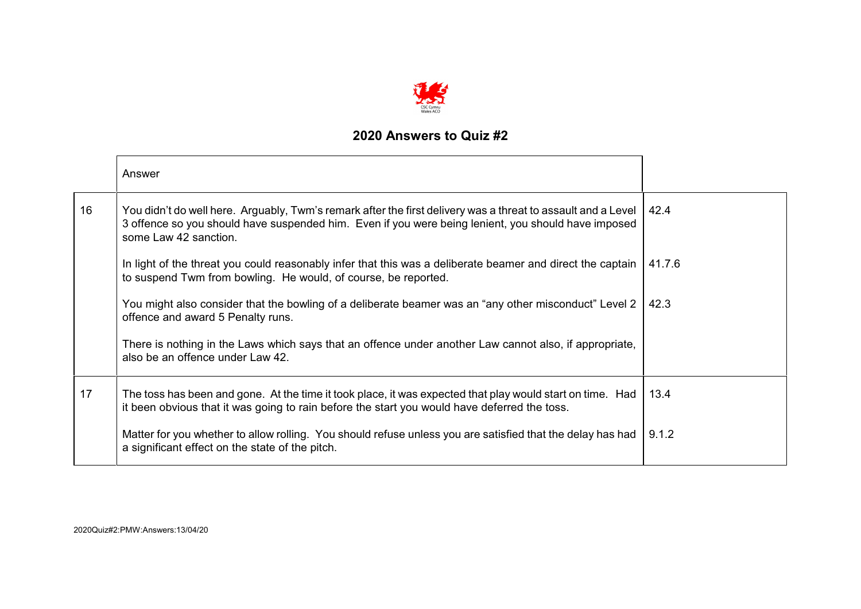

|    | Answer                                                                                                                                                                                                                                       |        |
|----|----------------------------------------------------------------------------------------------------------------------------------------------------------------------------------------------------------------------------------------------|--------|
| 16 | You didn't do well here. Arguably, Twm's remark after the first delivery was a threat to assault and a Level<br>3 offence so you should have suspended him. Even if you were being lenient, you should have imposed<br>some Law 42 sanction. | 42.4   |
|    | In light of the threat you could reasonably infer that this was a deliberate beamer and direct the captain<br>to suspend Twm from bowling. He would, of course, be reported.                                                                 | 41.7.6 |
|    | You might also consider that the bowling of a deliberate beamer was an "any other misconduct" Level 2<br>offence and award 5 Penalty runs.                                                                                                   | 42.3   |
|    | There is nothing in the Laws which says that an offence under another Law cannot also, if appropriate,<br>also be an offence under Law 42.                                                                                                   |        |
| 17 | The toss has been and gone. At the time it took place, it was expected that play would start on time. Had<br>it been obvious that it was going to rain before the start you would have deferred the toss.                                    | 13.4   |
|    | Matter for you whether to allow rolling. You should refuse unless you are satisfied that the delay has had<br>a significant effect on the state of the pitch.                                                                                | 9.1.2  |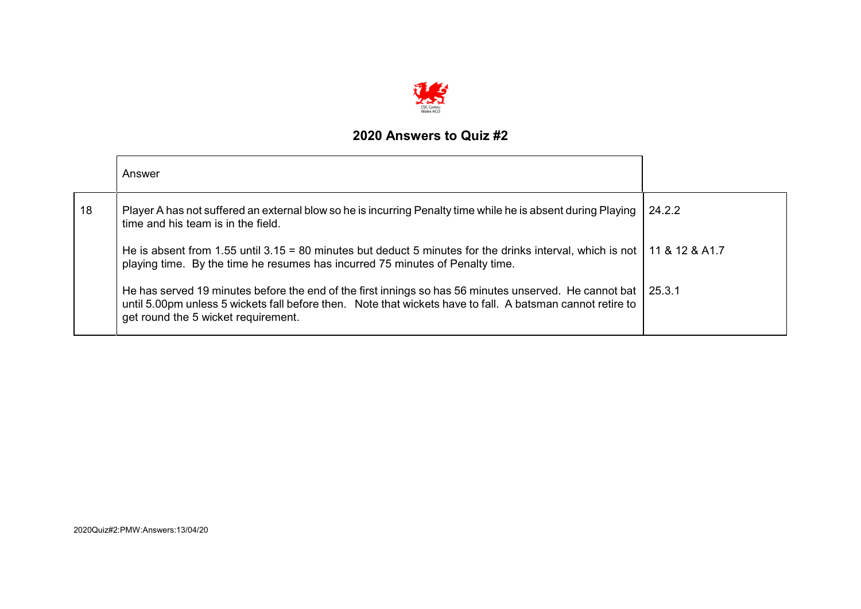

|    | Answer                                                                                                                                                                                                                                                      |        |
|----|-------------------------------------------------------------------------------------------------------------------------------------------------------------------------------------------------------------------------------------------------------------|--------|
| 18 | Player A has not suffered an external blow so he is incurring Penalty time while he is absent during Playing<br>time and his team is in the field.                                                                                                          | 24.2.2 |
|    | He is absent from 1.55 until 3.15 = 80 minutes but deduct 5 minutes for the drinks interval, which is not   11 & 12 & A1.7<br>playing time. By the time he resumes has incurred 75 minutes of Penalty time.                                                 |        |
|    | He has served 19 minutes before the end of the first innings so has 56 minutes unserved. He cannot bat<br>until 5.00pm unless 5 wickets fall before then. Note that wickets have to fall. A batsman cannot retire to<br>get round the 5 wicket requirement. | 25.3.1 |